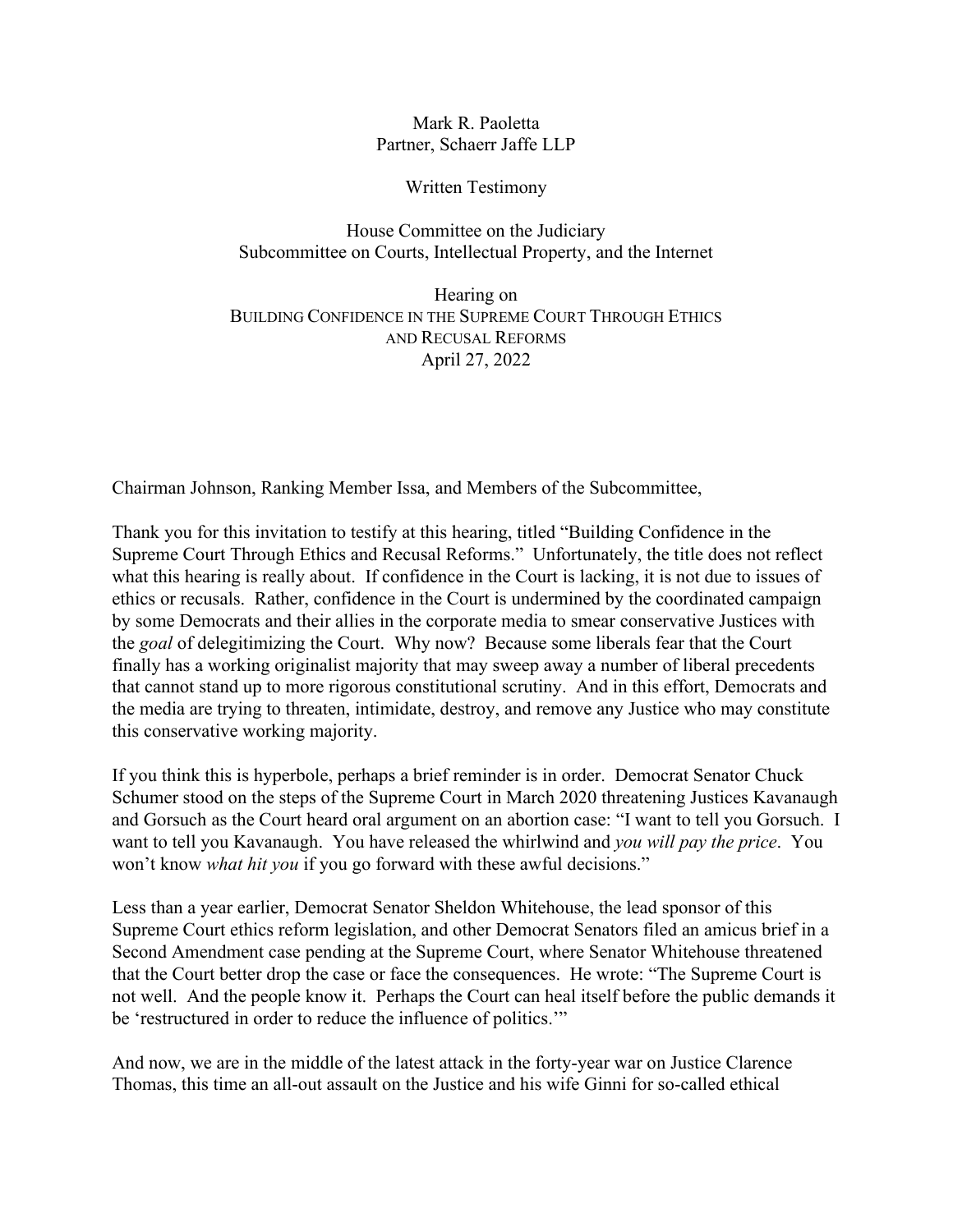Mark R. Paoletta Partner, Schaerr Jaffe LLP

Written Testimony

House Committee on the Judiciary Subcommittee on Courts, Intellectual Property, and the Internet

Hearing on BUILDING CONFIDENCE IN THE SUPREME COURT THROUGH ETHICS AND RECUSAL REFORMS April 27, 2022

Chairman Johnson, Ranking Member Issa, and Members of the Subcommittee,

Thank you for this invitation to testify at this hearing, titled "Building Confidence in the Supreme Court Through Ethics and Recusal Reforms." Unfortunately, the title does not reflect what this hearing is really about. If confidence in the Court is lacking, it is not due to issues of ethics or recusals. Rather, confidence in the Court is undermined by the coordinated campaign by some Democrats and their allies in the corporate media to smear conservative Justices with the *goal* of delegitimizing the Court. Why now? Because some liberals fear that the Court finally has a working originalist majority that may sweep away a number of liberal precedents that cannot stand up to more rigorous constitutional scrutiny. And in this effort, Democrats and the media are trying to threaten, intimidate, destroy, and remove any Justice who may constitute this conservative working majority.

If you think this is hyperbole, perhaps a brief reminder is in order. Democrat Senator Chuck Schumer stood on the steps of the Supreme Court in March 2020 threatening Justices Kavanaugh and Gorsuch as the Court heard oral argument on an abortion case: "I want to tell you Gorsuch. I want to tell you Kavanaugh. You have released the whirlwind and *you will pay the price*. You won't know *what hit you* if you go forward with these awful decisions."

Less than a year earlier, Democrat Senator Sheldon Whitehouse, the lead sponsor of this Supreme Court ethics reform legislation, and other Democrat Senators filed an amicus brief in a Second Amendment case pending at the Supreme Court, where Senator Whitehouse threatened that the Court better drop the case or face the consequences. He wrote: "The Supreme Court is not well. And the people know it. Perhaps the Court can heal itself before the public demands it be 'restructured in order to reduce the influence of politics.'"

And now, we are in the middle of the latest attack in the forty-year war on Justice Clarence Thomas, this time an all-out assault on the Justice and his wife Ginni for so-called ethical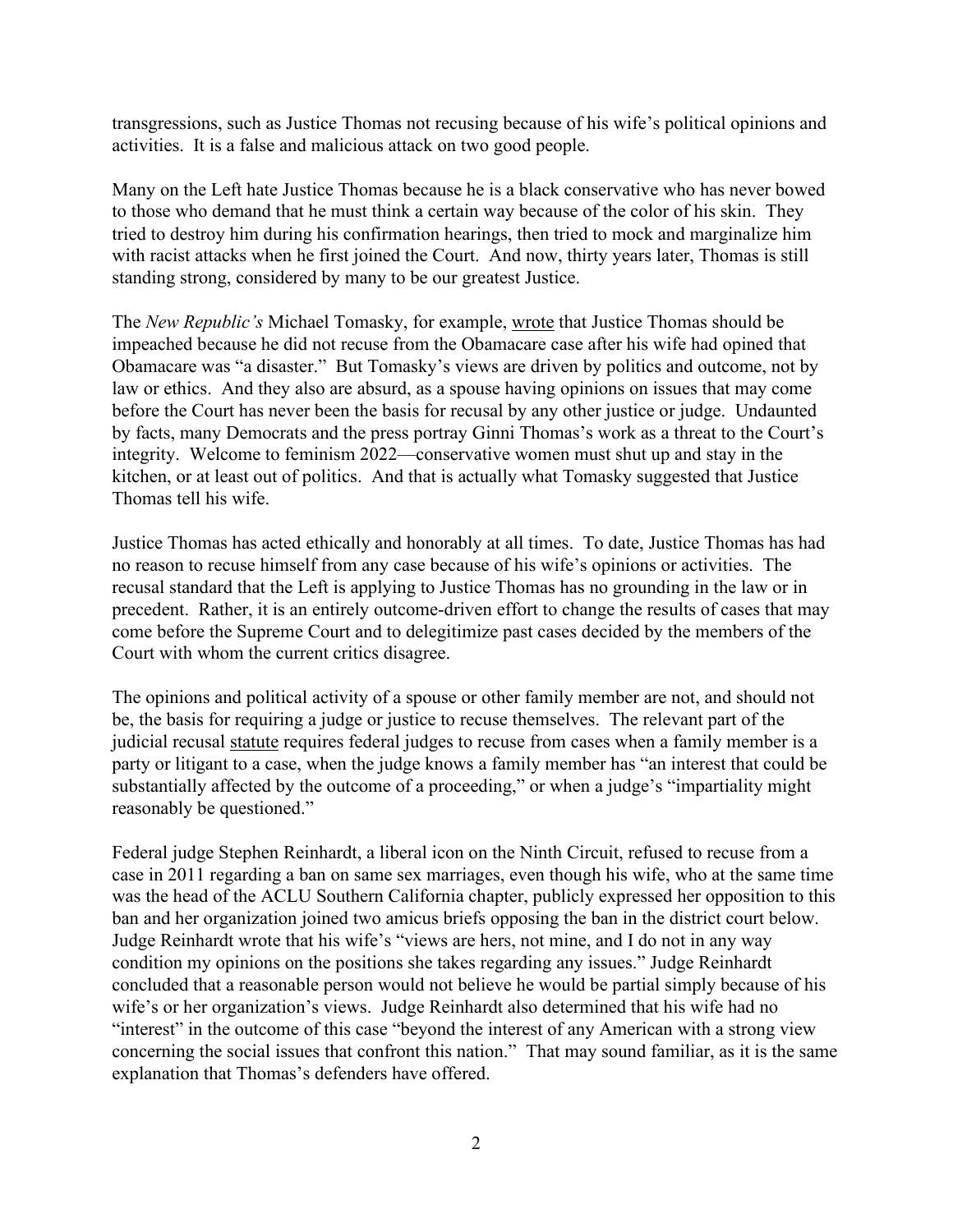transgressions, such as Justice Thomas not recusing because of his wife's political opinions and activities. It is a false and malicious attack on two good people.

Many on the Left hate Justice Thomas because he is a black conservative who has never bowed to those who demand that he must think a certain way because of the color of his skin. They tried to destroy him during his confirmation hearings, then tried to mock and marginalize him with racist attacks when he first joined the Court. And now, thirty years later, Thomas is still standing strong, considered by many to be our greatest Justice.

The *New Republic's* Michael Tomasky, for example, wrote that Justice Thomas should be impeached because he did not recuse from the Obamacare case after his wife had opined that Obamacare was "a disaster." But Tomasky's views are driven by politics and outcome, not by law or ethics. And they also are absurd, as a spouse having opinions on issues that may come before the Court has never been the basis for recusal by any other justice or judge. Undaunted by facts, many Democrats and the press portray Ginni Thomas's work as a threat to the Court's integrity. Welcome to feminism 2022—conservative women must shut up and stay in the kitchen, or at least out of politics. And that is actually what Tomasky suggested that Justice Thomas tell his wife.

Justice Thomas has acted ethically and honorably at all times. To date, Justice Thomas has had no reason to recuse himself from any case because of his wife's opinions or activities. The recusal standard that the Left is applying to Justice Thomas has no grounding in the law or in precedent. Rather, it is an entirely outcome-driven effort to change the results of cases that may come before the Supreme Court and to delegitimize past cases decided by the members of the Court with whom the current critics disagree.

The opinions and political activity of a spouse or other family member are not, and should not be, the basis for requiring a judge or justice to recuse themselves. The relevant part of the judicial recusal statute requires federal judges to recuse from cases when a family member is a party or litigant to a case, when the judge knows a family member has "an interest that could be substantially affected by the outcome of a proceeding," or when a judge's "impartiality might reasonably be questioned."

Federal judge Stephen Reinhardt, a liberal icon on the Ninth Circuit, refused to recuse from a case in 2011 regarding a ban on same sex marriages, even though his wife, who at the same time was the head of the ACLU Southern California chapter, publicly expressed her opposition to this ban and her organization joined two amicus briefs opposing the ban in the district court below. Judge Reinhardt wrote that his wife's "views are hers, not mine, and I do not in any way condition my opinions on the positions she takes regarding any issues." Judge Reinhardt concluded that a reasonable person would not believe he would be partial simply because of his wife's or her organization's views. Judge Reinhardt also determined that his wife had no "interest" in the outcome of this case "beyond the interest of any American with a strong view concerning the social issues that confront this nation." That may sound familiar, as it is the same explanation that Thomas's defenders have offered.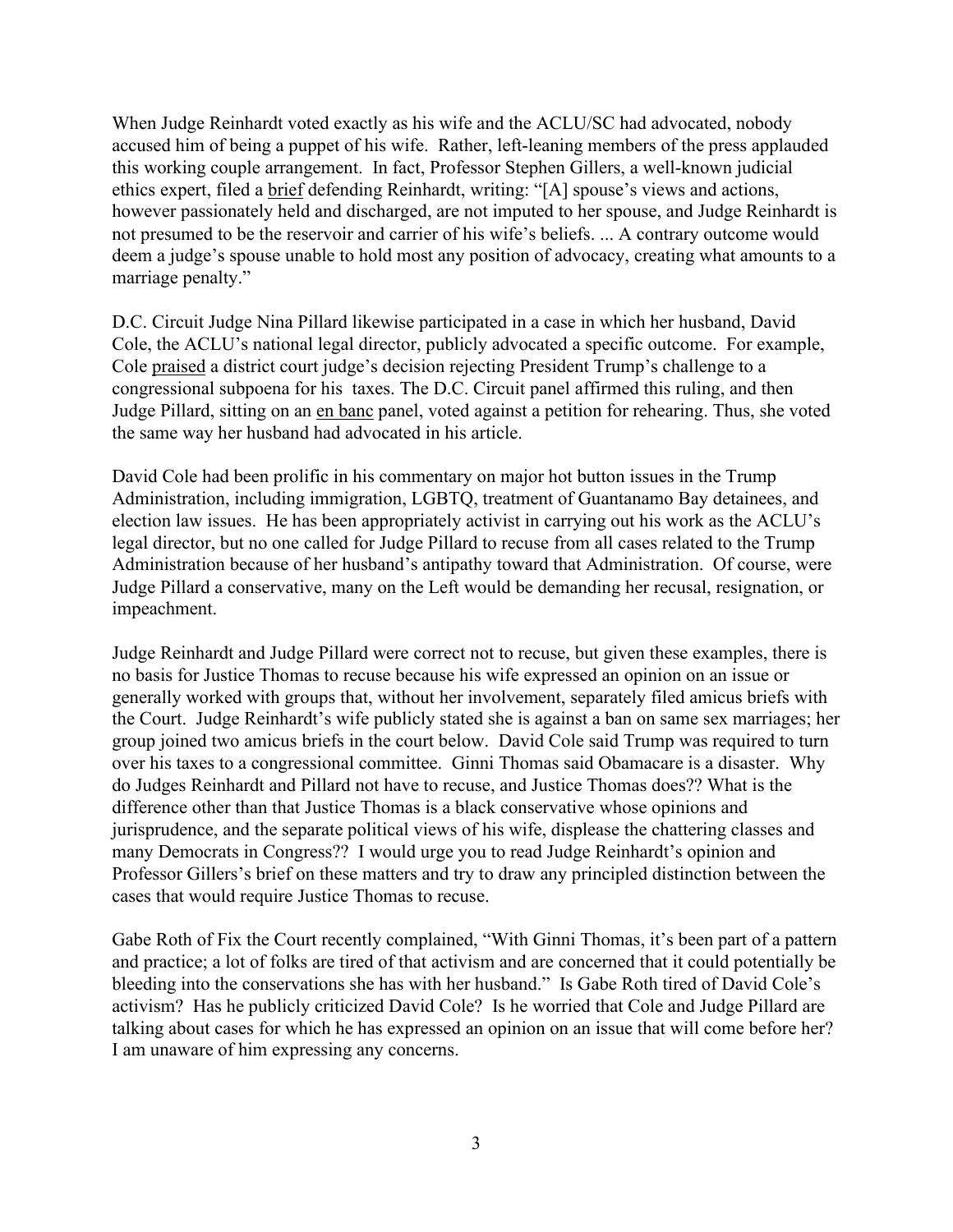When Judge Reinhardt voted exactly as his wife and the ACLU/SC had advocated, nobody accused him of being a puppet of his wife. Rather, left-leaning members of the press applauded this working couple arrangement. In fact, Professor Stephen Gillers, a well-known judicial ethics expert, filed a brief defending Reinhardt, writing: "[A] spouse's views and actions, however passionately held and discharged, are not imputed to her spouse, and Judge Reinhardt is not presumed to be the reservoir and carrier of his wife's beliefs. ... A contrary outcome would deem a judge's spouse unable to hold most any position of advocacy, creating what amounts to a marriage penalty."

D.C. Circuit Judge Nina Pillard likewise participated in a case in which her husband, David Cole, the ACLU's national legal director, publicly advocated a specific outcome. For example, Cole praised a district court judge's decision rejecting President Trump's challenge to a congressional subpoena for his taxes. The D.C. Circuit panel affirmed this ruling, and then Judge Pillard, sitting on an en banc panel, voted against a petition for rehearing. Thus, she voted the same way her husband had advocated in his article.

David Cole had been prolific in his commentary on major hot button issues in the Trump Administration, including immigration, LGBTQ, treatment of Guantanamo Bay detainees, and election law issues. He has been appropriately activist in carrying out his work as the ACLU's legal director, but no one called for Judge Pillard to recuse from all cases related to the Trump Administration because of her husband's antipathy toward that Administration. Of course, were Judge Pillard a conservative, many on the Left would be demanding her recusal, resignation, or impeachment.

Judge Reinhardt and Judge Pillard were correct not to recuse, but given these examples, there is no basis for Justice Thomas to recuse because his wife expressed an opinion on an issue or generally worked with groups that, without her involvement, separately filed amicus briefs with the Court. Judge Reinhardt's wife publicly stated she is against a ban on same sex marriages; her group joined two amicus briefs in the court below. David Cole said Trump was required to turn over his taxes to a congressional committee. Ginni Thomas said Obamacare is a disaster. Why do Judges Reinhardt and Pillard not have to recuse, and Justice Thomas does?? What is the difference other than that Justice Thomas is a black conservative whose opinions and jurisprudence, and the separate political views of his wife, displease the chattering classes and many Democrats in Congress?? I would urge you to read Judge Reinhardt's opinion and Professor Gillers's brief on these matters and try to draw any principled distinction between the cases that would require Justice Thomas to recuse.

Gabe Roth of Fix the Court recently complained, "With Ginni Thomas, it's been part of a pattern and practice; a lot of folks are tired of that activism and are concerned that it could potentially be bleeding into the conservations she has with her husband." Is Gabe Roth tired of David Cole's activism? Has he publicly criticized David Cole? Is he worried that Cole and Judge Pillard are talking about cases for which he has expressed an opinion on an issue that will come before her? I am unaware of him expressing any concerns.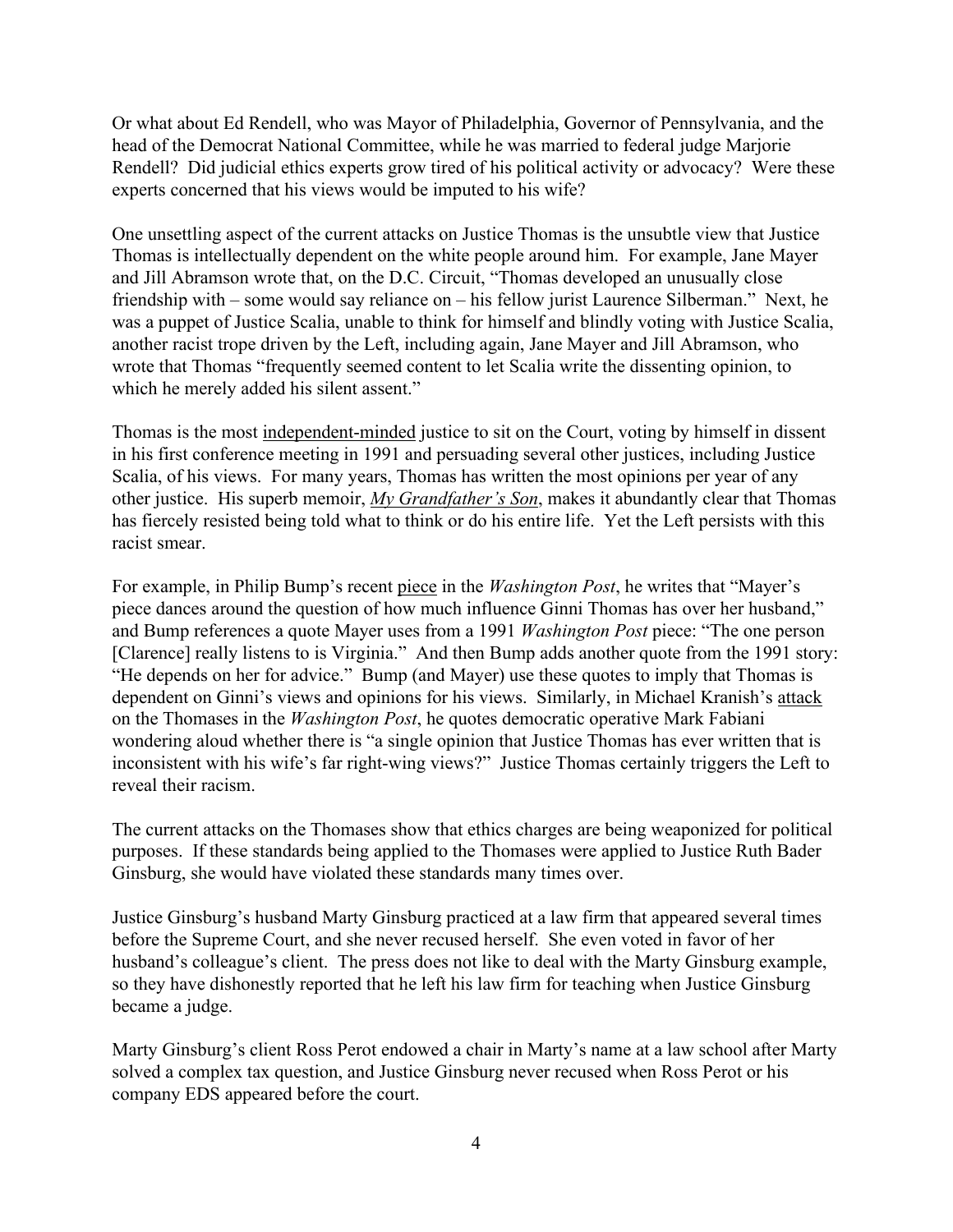Or what about Ed Rendell, who was Mayor of Philadelphia, Governor of Pennsylvania, and the head of the Democrat National Committee, while he was married to federal judge Marjorie Rendell? Did judicial ethics experts grow tired of his political activity or advocacy? Were these experts concerned that his views would be imputed to his wife?

One unsettling aspect of the current attacks on Justice Thomas is the unsubtle view that Justice Thomas is intellectually dependent on the white people around him. For example, Jane Mayer and Jill Abramson wrote that, on the D.C. Circuit, "Thomas developed an unusually close friendship with – some would say reliance on – his fellow jurist Laurence Silberman." Next, he was a puppet of Justice Scalia, unable to think for himself and blindly voting with Justice Scalia, another racist trope driven by the Left, including again, Jane Mayer and Jill Abramson, who wrote that Thomas "frequently seemed content to let Scalia write the dissenting opinion, to which he merely added his silent assent."

Thomas is the most independent-minded justice to sit on the Court, voting by himself in dissent in his first conference meeting in 1991 and persuading several other justices, including Justice Scalia, of his views. For many years, Thomas has written the most opinions per year of any other justice. His superb memoir, *My Grandfather's Son*, makes it abundantly clear that Thomas has fiercely resisted being told what to think or do his entire life. Yet the Left persists with this racist smear.

For example, in Philip Bump's recent piece in the *Washington Post*, he writes that "Mayer's piece dances around the question of how much influence Ginni Thomas has over her husband," and Bump references a quote Mayer uses from a 1991 *Washington Post* piece: "The one person [Clarence] really listens to is Virginia." And then Bump adds another quote from the 1991 story: "He depends on her for advice." Bump (and Mayer) use these quotes to imply that Thomas is dependent on Ginni's views and opinions for his views. Similarly, in Michael Kranish's attack on the Thomases in the *Washington Post*, he quotes democratic operative Mark Fabiani wondering aloud whether there is "a single opinion that Justice Thomas has ever written that is inconsistent with his wife's far right-wing views?" Justice Thomas certainly triggers the Left to reveal their racism.

The current attacks on the Thomases show that ethics charges are being weaponized for political purposes. If these standards being applied to the Thomases were applied to Justice Ruth Bader Ginsburg, she would have violated these standards many times over.

Justice Ginsburg's husband Marty Ginsburg practiced at a law firm that appeared several times before the Supreme Court, and she never recused herself. She even voted in favor of her husband's colleague's client. The press does not like to deal with the Marty Ginsburg example, so they have dishonestly reported that he left his law firm for teaching when Justice Ginsburg became a judge.

Marty Ginsburg's client Ross Perot endowed a chair in Marty's name at a law school after Marty solved a complex tax question, and Justice Ginsburg never recused when Ross Perot or his company EDS appeared before the court.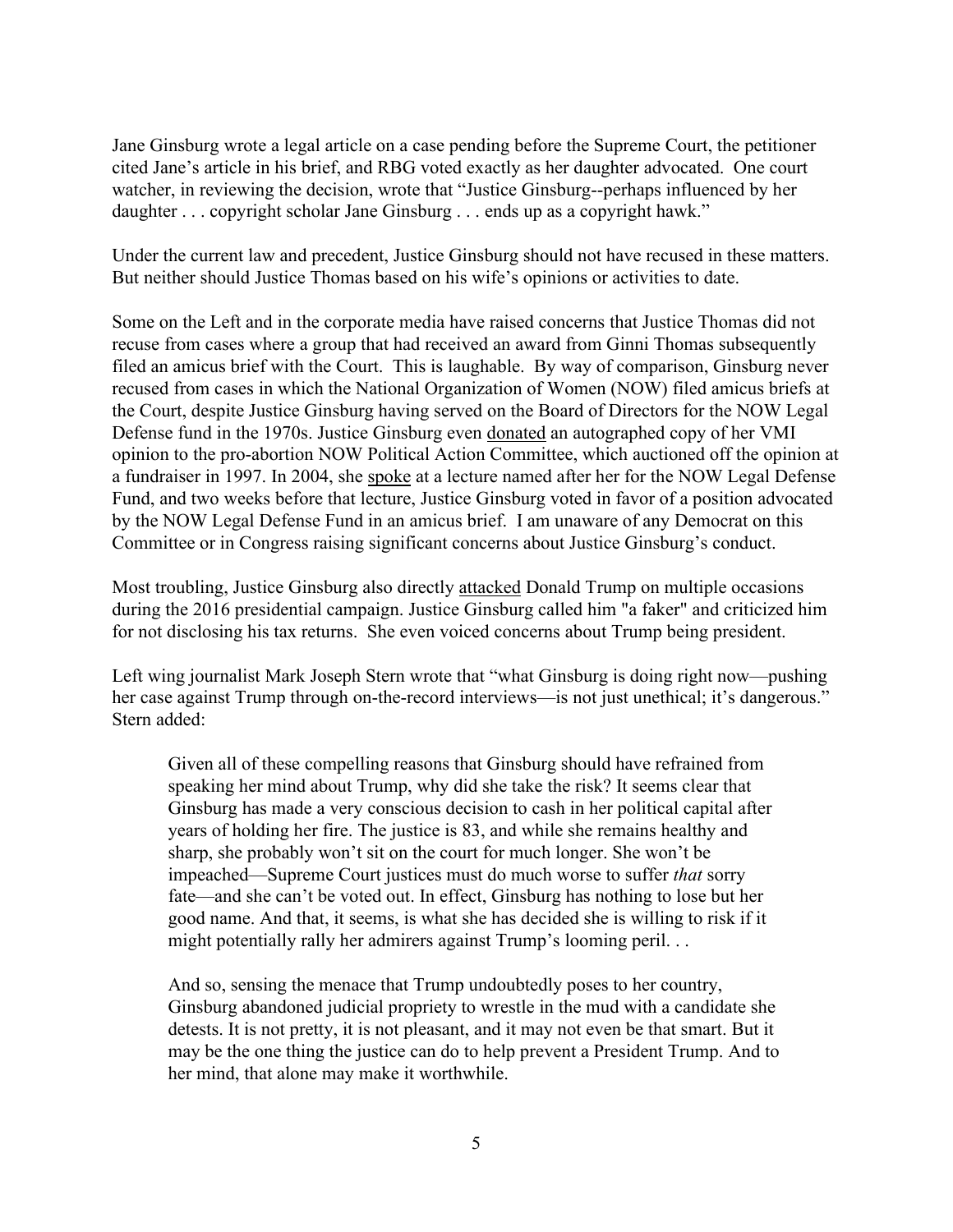Jane Ginsburg wrote a legal article on a case pending before the Supreme Court, the petitioner cited Jane's article in his brief, and RBG voted exactly as her daughter advocated. One court watcher, in reviewing the decision, wrote that "Justice Ginsburg--perhaps influenced by her daughter . . . copyright scholar Jane Ginsburg . . . ends up as a copyright hawk."

Under the current law and precedent, Justice Ginsburg should not have recused in these matters. But neither should Justice Thomas based on his wife's opinions or activities to date.

Some on the Left and in the corporate media have raised concerns that Justice Thomas did not recuse from cases where a group that had received an award from Ginni Thomas subsequently filed an amicus brief with the Court. This is laughable. By way of comparison, Ginsburg never recused from cases in which the National Organization of Women (NOW) filed amicus briefs at the Court, despite Justice Ginsburg having served on the Board of Directors for the NOW Legal Defense fund in the 1970s. Justice Ginsburg even donated an autographed copy of her VMI opinion to the pro-abortion NOW Political Action Committee, which auctioned off the opinion at a fundraiser in 1997. In 2004, she spoke at a lecture named after her for the NOW Legal Defense Fund, and two weeks before that lecture, Justice Ginsburg voted in favor of a position advocated by the NOW Legal Defense Fund in an amicus brief. I am unaware of any Democrat on this Committee or in Congress raising significant concerns about Justice Ginsburg's conduct.

Most troubling, Justice Ginsburg also directly attacked Donald Trump on multiple occasions during the 2016 presidential campaign. Justice Ginsburg called him "a faker" and criticized him for not disclosing his tax returns. She even voiced concerns about Trump being president.

Left wing journalist Mark Joseph Stern wrote that "what Ginsburg is doing right now—pushing her case against Trump through on-the-record interviews—is not just unethical; it's dangerous." Stern added:

Given all of these compelling reasons that Ginsburg should have refrained from speaking her mind about Trump, why did she take the risk? It seems clear that Ginsburg has made a very conscious decision to cash in her political capital after years of holding her fire. The justice is 83, and while she remains healthy and sharp, she probably won't sit on the court for much longer. She won't be impeached—Supreme Court justices must do much worse to suffer *that* sorry fate—and she can't be voted out. In effect, Ginsburg has nothing to lose but her good name. And that, it seems, is what she has decided she is willing to risk if it might potentially rally her admirers against Trump's looming peril. . .

And so, sensing the menace that Trump undoubtedly poses to her country, Ginsburg abandoned judicial propriety to wrestle in the mud with a candidate she detests. It is not pretty, it is not pleasant, and it may not even be that smart. But it may be the one thing the justice can do to help prevent a President Trump. And to her mind, that alone may make it worthwhile.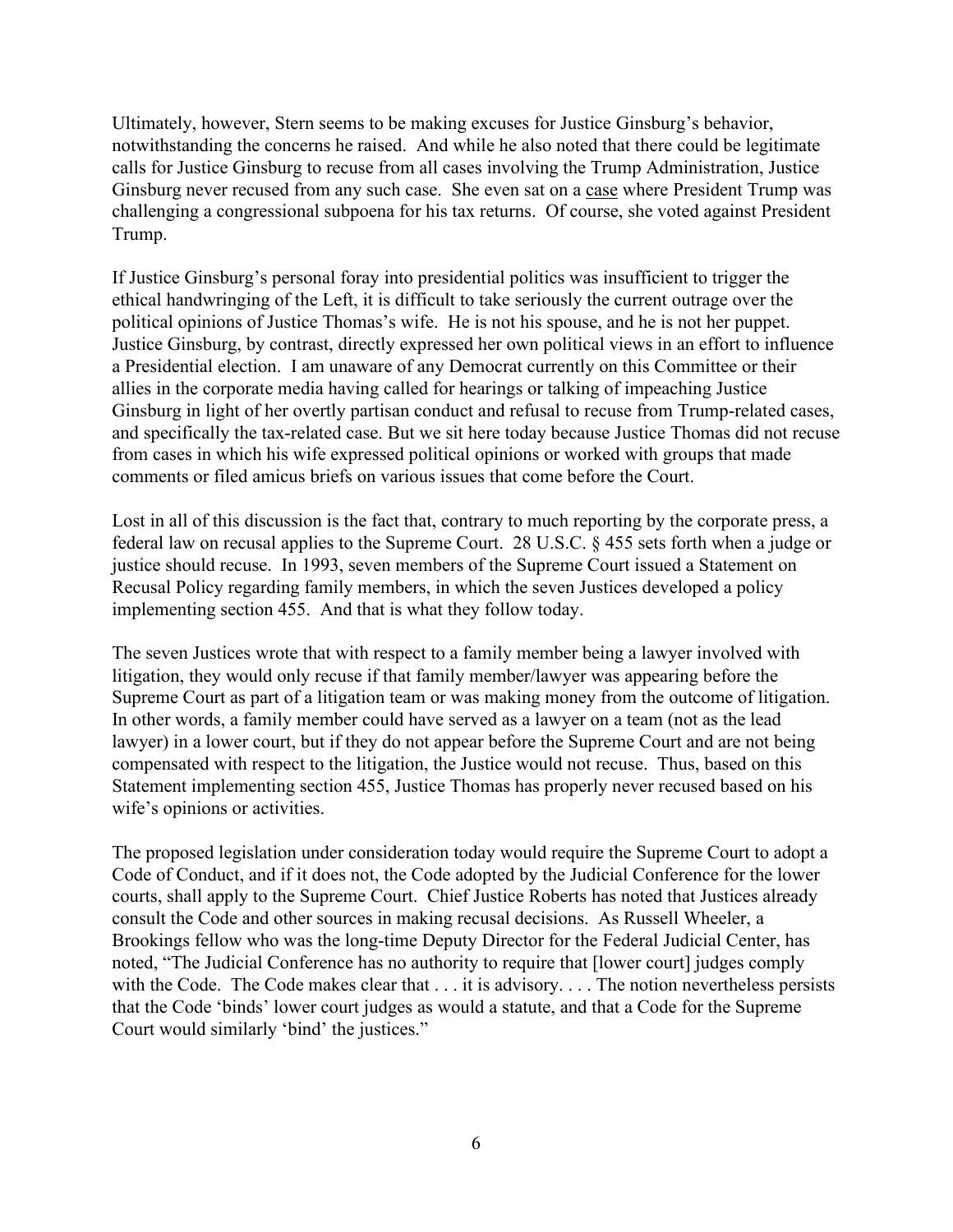Ultimately, however, Stern seems to be making excuses for Justice Ginsburg's behavior, notwithstanding the concerns he raised. And while he also noted that there could be legitimate calls for Justice Ginsburg to recuse from all cases involving the Trump Administration, Justice Ginsburg never recused from any such case. She even sat on a case where President Trump was challenging a congressional subpoena for his tax returns. Of course, she voted against President Trump.

If Justice Ginsburg's personal foray into presidential politics was insufficient to trigger the ethical handwringing of the Left, it is difficult to take seriously the current outrage over the political opinions of Justice Thomas's wife. He is not his spouse, and he is not her puppet. Justice Ginsburg, by contrast, directly expressed her own political views in an effort to influence a Presidential election. I am unaware of any Democrat currently on this Committee or their allies in the corporate media having called for hearings or talking of impeaching Justice Ginsburg in light of her overtly partisan conduct and refusal to recuse from Trump-related cases, and specifically the tax-related case. But we sit here today because Justice Thomas did not recuse from cases in which his wife expressed political opinions or worked with groups that made comments or filed amicus briefs on various issues that come before the Court.

Lost in all of this discussion is the fact that, contrary to much reporting by the corporate press, a federal law on recusal applies to the Supreme Court. 28 U.S.C. § 455 sets forth when a judge or justice should recuse. In 1993, seven members of the Supreme Court issued a Statement on Recusal Policy regarding family members, in which the seven Justices developed a policy implementing section 455. And that is what they follow today.

The seven Justices wrote that with respect to a family member being a lawyer involved with litigation, they would only recuse if that family member/lawyer was appearing before the Supreme Court as part of a litigation team or was making money from the outcome of litigation. In other words, a family member could have served as a lawyer on a team (not as the lead lawyer) in a lower court, but if they do not appear before the Supreme Court and are not being compensated with respect to the litigation, the Justice would not recuse. Thus, based on this Statement implementing section 455, Justice Thomas has properly never recused based on his wife's opinions or activities.

The proposed legislation under consideration today would require the Supreme Court to adopt a Code of Conduct, and if it does not, the Code adopted by the Judicial Conference for the lower courts, shall apply to the Supreme Court. Chief Justice Roberts has noted that Justices already consult the Code and other sources in making recusal decisions. As Russell Wheeler, a Brookings fellow who was the long-time Deputy Director for the Federal Judicial Center, has noted, "The Judicial Conference has no authority to require that [lower court] judges comply with the Code. The Code makes clear that . . . it is advisory. . . . The notion nevertheless persists that the Code 'binds' lower court judges as would a statute, and that a Code for the Supreme Court would similarly 'bind' the justices."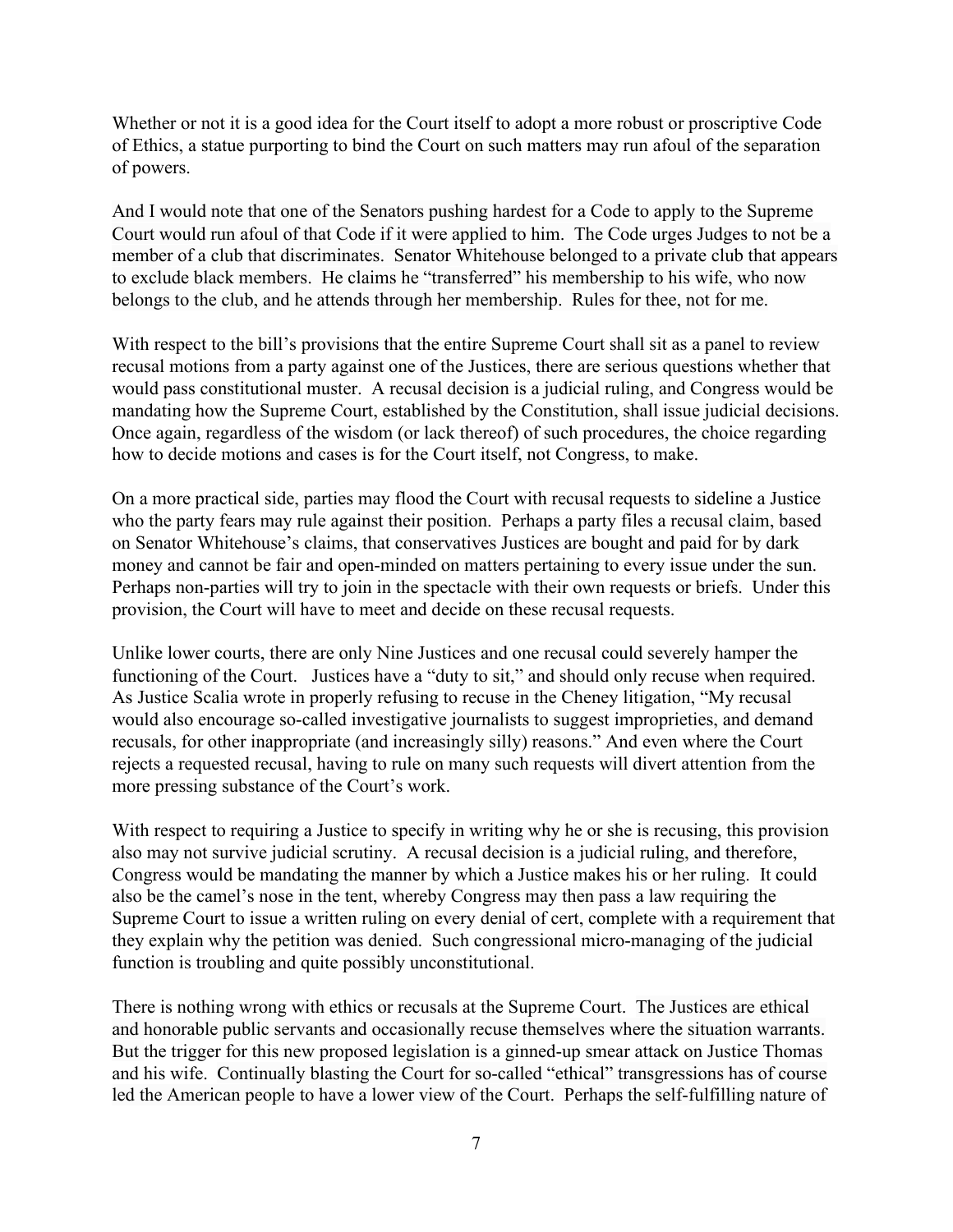Whether or not it is a good idea for the Court itself to adopt a more robust or proscriptive Code of Ethics, a statue purporting to bind the Court on such matters may run afoul of the separation of powers.

And I would note that one of the Senators pushing hardest for a Code to apply to the Supreme Court would run afoul of that Code if it were applied to him. The Code urges Judges to not be a member of a club that discriminates. Senator Whitehouse belonged to a private club that appears to exclude black members. He claims he "transferred" his membership to his wife, who now belongs to the club, and he attends through her membership. Rules for thee, not for me.

With respect to the bill's provisions that the entire Supreme Court shall sit as a panel to review recusal motions from a party against one of the Justices, there are serious questions whether that would pass constitutional muster. A recusal decision is a judicial ruling, and Congress would be mandating how the Supreme Court, established by the Constitution, shall issue judicial decisions. Once again, regardless of the wisdom (or lack thereof) of such procedures, the choice regarding how to decide motions and cases is for the Court itself, not Congress, to make.

On a more practical side, parties may flood the Court with recusal requests to sideline a Justice who the party fears may rule against their position. Perhaps a party files a recusal claim, based on Senator Whitehouse's claims, that conservatives Justices are bought and paid for by dark money and cannot be fair and open-minded on matters pertaining to every issue under the sun. Perhaps non-parties will try to join in the spectacle with their own requests or briefs. Under this provision, the Court will have to meet and decide on these recusal requests.

Unlike lower courts, there are only Nine Justices and one recusal could severely hamper the functioning of the Court. Justices have a "duty to sit," and should only recuse when required. As Justice Scalia wrote in properly refusing to recuse in the Cheney litigation, "My recusal would also encourage so-called investigative journalists to suggest improprieties, and demand recusals, for other inappropriate (and increasingly silly) reasons." And even where the Court rejects a requested recusal, having to rule on many such requests will divert attention from the more pressing substance of the Court's work.

With respect to requiring a Justice to specify in writing why he or she is recusing, this provision also may not survive judicial scrutiny. A recusal decision is a judicial ruling, and therefore, Congress would be mandating the manner by which a Justice makes his or her ruling. It could also be the camel's nose in the tent, whereby Congress may then pass a law requiring the Supreme Court to issue a written ruling on every denial of cert, complete with a requirement that they explain why the petition was denied. Such congressional micro-managing of the judicial function is troubling and quite possibly unconstitutional.

There is nothing wrong with ethics or recusals at the Supreme Court. The Justices are ethical and honorable public servants and occasionally recuse themselves where the situation warrants. But the trigger for this new proposed legislation is a ginned-up smear attack on Justice Thomas and his wife. Continually blasting the Court for so-called "ethical" transgressions has of course led the American people to have a lower view of the Court. Perhaps the self-fulfilling nature of